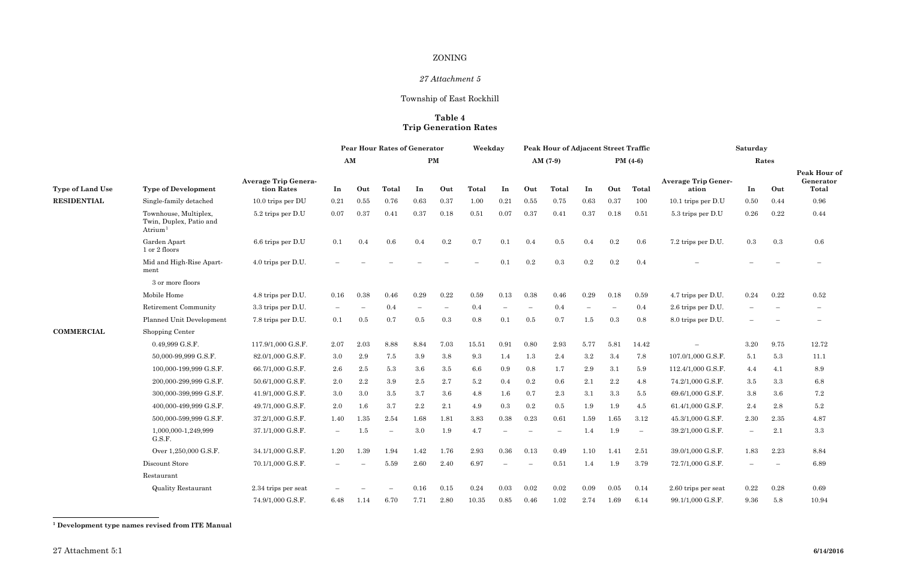### <span id="page-0-0"></span>ZONING

# *27 Attachment 5*

# Township of East Rockhill

### **Table 4 Trip Generation Rates**

| <b>Average Trip Gener-</b><br>ation | In               | Out        | Peak Hour of<br>Generator<br>Total |
|-------------------------------------|------------------|------------|------------------------------------|
| 10.1 trips per D.U                  | 0.50             | 0.44       | $\rm 0.96$                         |
| 5.3 trips per D.U                   | 0.26             | $\rm 0.22$ | 0.44                               |
| 7.2 trips per D.U.                  | 0.3              | 0.3        | 0.6                                |
|                                     |                  |            |                                    |
|                                     |                  |            |                                    |
| 4.7 trips per D.U.                  | 0.24             | 0.22       | 0.52                               |
| 2.6 trips per D.U.                  |                  |            |                                    |
| 8.0 trips per D.U.                  |                  |            |                                    |
|                                     | 3.20             | 9.75       | 12.72                              |
| 107.0/1,000 G.S.F.                  | 5.1              | $5.3\,$    | 11.1                               |
| 112.4/1,000 G.S.F.                  | $4.4\phantom{0}$ | 4.1        | 8.9                                |
| 74.2/1,000 G.S.F.                   | 3.5              | $\!.3$     | 6.8                                |
| 69.6/1,000 G.S.F.                   | 3.8              | 3.6        | $7.2\,$                            |
| 61.4/1,000 G.S.F.                   | 2.4              | 2.8        | 5.2                                |
| 45.3/1,000 G.S.F.                   | 2.30             | $2.35\,$   | 4.87                               |
| 39.2/1,000 G.S.F.                   |                  | $2.1\,$    | $\!.3$                             |
| 39.0/1,000 G.S.F.                   | 1.83             | 2.23       | 8.84                               |
| 72.7/1,000 G.S.F.                   |                  |            | 6.89                               |
| 2.60 trips per seat                 | 0.22             | 0.28       | 0.69                               |
| 99.1/1.000 G.S.F.                   | 9.36             | 5.8        | 10.94                              |

|                         |                                                                            |                                           | <b>Pear Hour Rates of Generator</b> |         |                          | Weekday                  |                          |         | <b>Peak Hour of Adjacent Street Traffic</b> |                          |            |         | Saturday                 |                          |                                     |                          |                          |                             |
|-------------------------|----------------------------------------------------------------------------|-------------------------------------------|-------------------------------------|---------|--------------------------|--------------------------|--------------------------|---------|---------------------------------------------|--------------------------|------------|---------|--------------------------|--------------------------|-------------------------------------|--------------------------|--------------------------|-----------------------------|
|                         |                                                                            |                                           | AM                                  |         |                          |                          | PM                       |         |                                             |                          | $AM(7-9)$  |         |                          | PM $(4-6)$               |                                     |                          | Rates                    |                             |
| <b>Type of Land Use</b> | <b>Type of Development</b>                                                 | <b>Average Trip Genera-</b><br>tion Rates | In                                  | Out     | Total                    | In                       | Out                      | Total   | In                                          | Out                      | Total      | In      | Out                      | Total                    | <b>Average Trip Gener-</b><br>ation | In                       | Out                      | Peak Hot<br>Genera<br>Total |
| <b>RESIDENTIAL</b>      | Single-family detached                                                     | $10.0$ trips per DU                       | 0.21                                | 0.55    | 0.76                     | 0.63                     | 0.37                     | 1.00    | 0.21                                        | 0.55                     | 0.75       | 0.63    | 0.37                     | 100                      | 10.1 trips per $D.U$                | 0.50                     | 0.44                     | 0.96                        |
|                         | Townhouse, Multiplex,<br>Twin, Duplex, Patio and<br>$A$ trium <sup>1</sup> | 5.2 trips per D.U                         | 0.07                                | 0.37    | 0.41                     | 0.37                     | $0.18\,$                 | 0.51    | 0.07                                        | 0.37                     | 0.41       | 0.37    | $0.18\,$                 | 0.51                     | 5.3 trips per D.U                   | 0.26                     | 0.22                     | 0.44                        |
|                         | Garden Apart<br>1 or 2 floors                                              | $6.6$ trips per D.U                       | 0.1                                 | 0.4     | 0.6                      | 0.4                      | $0.2\,$                  | 0.7     | 0.1                                         | 0.4                      | 0.5        | 0.4     | $\rm 0.2$                | 0.6                      | 7.2 trips per D.U.                  | $0.3\,$                  | 0.3                      | 0.6                         |
|                         | Mid and High-Rise Apart-<br>ment                                           | 4.0 trips per D.U.                        |                                     |         |                          |                          |                          |         | $0.1\,$                                     | $0.2\,$                  | 0.3        | $0.2\,$ | $0.2\,$                  | 0.4                      |                                     |                          |                          |                             |
|                         | 3 or more floors                                                           |                                           |                                     |         |                          |                          |                          |         |                                             |                          |            |         |                          |                          |                                     |                          |                          |                             |
|                         | Mobile Home                                                                | 4.8 trips per D.U.                        | 0.16                                | 0.38    | 0.46                     | 0.29                     | 0.22                     | 0.59    | 0.13                                        | 0.38                     | 0.46       | 0.29    | 0.18                     | 0.59                     | 4.7 trips per D.U.                  | 0.24                     | 0.22                     | $\rm 0.52$                  |
|                         | Retirement Community                                                       | 3.3 trips per D.U.                        |                                     |         | 0.4                      | $\overline{\phantom{0}}$ | $\overline{\phantom{0}}$ | 0.4     |                                             | $\overline{\phantom{0}}$ | 0.4        |         | $\overline{\phantom{m}}$ | 0.4                      | 2.6 trips per D.U.                  |                          | $\overline{\phantom{0}}$ |                             |
|                         | Planned Unit Development                                                   | 7.8 trips per D.U.                        | 0.1                                 | $0.5\,$ | 0.7                      | $0.5\,$                  | 0.3                      | 0.8     | 0.1                                         | 0.5                      | 0.7        | 1.5     | 0.3                      | 0.8                      | 8.0 trips per D.U.                  |                          |                          |                             |
| <b>COMMERCIAL</b>       | Shopping Center                                                            |                                           |                                     |         |                          |                          |                          |         |                                             |                          |            |         |                          |                          |                                     |                          |                          |                             |
|                         | 0.49,999 G.S.F.                                                            | 117.9/1,000 G.S.F.                        | 2.07                                | 2.03    | 8.88                     | 8.84                     | 7.03                     | 15.51   | $\rm 0.91$                                  | 0.80                     | 2.93       | 5.77    | 5.81                     | 14.42                    | $\overline{\phantom{0}}$            | 3.20                     | 9.75                     | 12.72                       |
|                         | 50,000-99,999 G.S.F.                                                       | 82.0/1,000 G.S.F.                         | $3.0\,$                             | 2.9     | 7.5                      | 3.9                      | 3.8                      | 9.3     | 1.4                                         | 1.3                      | 2.4        | $3.2\,$ | $3.4\,$                  | 7.8                      | 107.0/1,000 G.S.F.                  | 5.1                      | 5.3                      | 11.1                        |
|                         | 100,000-199,999 G.S.F.                                                     | 66.7/1,000 G.S.F.                         | 2.6                                 | $2.5\,$ | 5.3                      | 3.6                      | 3.5                      | $6.6\,$ | 0.9                                         | 0.8                      | 1.7        | $2.9\,$ | 3.1                      | 5.9                      | 112.4/1,000 G.S.F.                  | 4.4                      | 4.1                      | 8.9                         |
|                         | 200,000-299,999 G.S.F.                                                     | 50.6/1,000 G.S.F.                         | 2.0                                 | $2.2\,$ | 3.9                      | $2.5\,$                  | 2.7                      | 5.2     | 0.4                                         | $0.2\,$                  | 0.6        | $2.1\,$ | $2.2\,$                  | 4.8                      | 74.2/1,000 G.S.F.                   | $3.5\,$                  | 3.3                      | 6.8                         |
|                         | 300,000-399,999 G.S.F.                                                     | 41.9/1,000 G.S.F.                         | $3.0\,$                             | 3.0     | 3.5                      | 3.7                      | 3.6                      | 4.8     | 1.6                                         | 0.7                      | 2.3        | 3.1     | 3.3                      | 5.5                      | 69.6/1,000 G.S.F.                   | 3.8                      | 3.6                      | $\!\!7.2$                   |
|                         | 400,000-499,999 G.S.F.                                                     | 49.7/1,000 G.S.F.                         | 2.0                                 | 1.6     | 3.7                      | $2.2\,$                  | $2.1\,$                  | 4.9     | 0.3                                         | 0.2                      | 0.5        | 1.9     | 1.9                      | 4.5                      | 61.4/1,000 G.S.F.                   | 2.4                      | 2.8                      | $5.2\,$                     |
|                         | 500,000-599,999 G.S.F.                                                     | 37.2/1,000 G.S.F.                         | 1.40                                | 1.35    | 2.54                     | 1.68                     | 1.81                     | 3.83    | 0.38                                        | 0.23                     | 0.61       | 1.59    | 1.65                     | 3.12                     | 45.3/1,000 G.S.F.                   | 2.30                     | 2.35                     | 4.87                        |
|                         | 1,000,000-1,249,999<br>G.S.F.                                              | 37.1/1,000 G.S.F.                         | $\equiv$                            | 1.5     | $\overline{\phantom{0}}$ | 3.0                      | 1.9                      | 4.7     |                                             |                          |            | 1.4     | 1.9                      | $\overline{\phantom{m}}$ | 39.2/1,000 G.S.F.                   | $\overline{\phantom{0}}$ | 2.1                      | $3.3\,$                     |
|                         | Over 1,250,000 G.S.F.                                                      | 34.1/1,000 G.S.F.                         | 1.20                                | 1.39    | 1.94                     | 1.42                     | 1.76                     | 2.93    | $0.36\,$                                    | 0.13                     | 0.49       | 1.10    | 1.41                     | 2.51                     | 39.0/1,000 G.S.F.                   | 1.83                     | 2.23                     | 8.84                        |
|                         | Discount Store                                                             | 70.1/1,000 G.S.F.                         |                                     |         | 5.59                     | 2.60                     | 2.40                     | 6.97    |                                             |                          | 0.51       | 1.4     | 1.9                      | 3.79                     | 72.7/1,000 G.S.F.                   |                          |                          | 6.89                        |
|                         | Restaurant                                                                 |                                           |                                     |         |                          |                          |                          |         |                                             |                          |            |         |                          |                          |                                     |                          |                          |                             |
|                         | <b>Quality Restaurant</b>                                                  | 2.34 trips per seat                       |                                     |         |                          | 0.16                     | 0.15                     | 0.24    | 0.03                                        | 0.02                     | $\,0.02\,$ | 0.09    | 0.05                     | 0.14                     | 2.60 trips per seat                 | 0.22                     | 0.28                     | 0.69                        |
|                         |                                                                            | 74.9/1,000 G.S.F.                         | 6.48                                | 1.14    | 6.70                     | 7.71                     | 2.80                     | 10.35   | 0.85                                        | 0.46                     | 1.02       | 2.74    | 1.69                     | 6.14                     | 99.1/1,000 G.S.F.                   | 9.36                     | 5.8                      | 10.94                       |

**<sup>1</sup> Development type names revised from ITE Manual**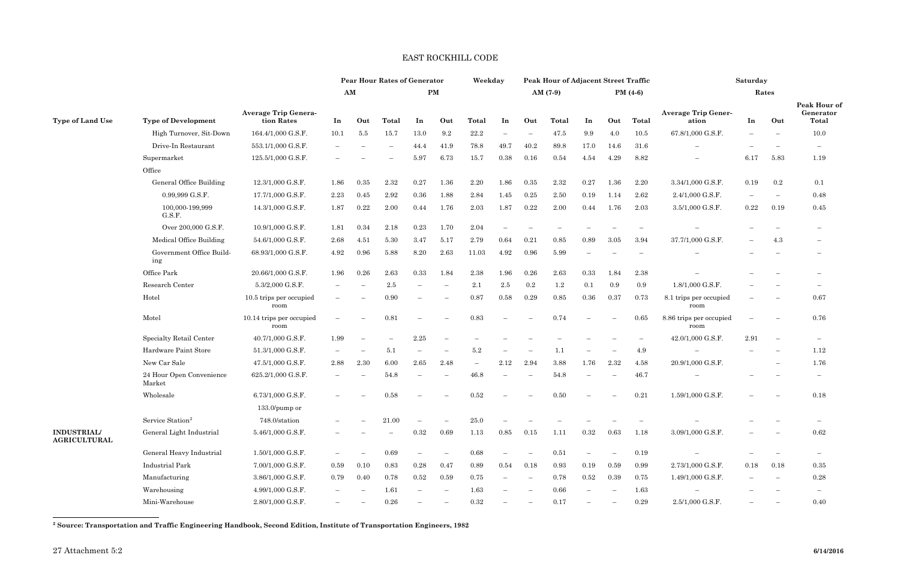## <span id="page-1-0"></span>EAST ROCKHILL CODE

|                                           |                                    |                                           | <b>Pear Hour Rates of Generator</b> |                          |                          |                          | Weekday                  |                          |                          | Peak Hour of Adjacent Street Traffic |           |            |                          | Saturday                 |                                     |      |                                  |                                    |  |
|-------------------------------------------|------------------------------------|-------------------------------------------|-------------------------------------|--------------------------|--------------------------|--------------------------|--------------------------|--------------------------|--------------------------|--------------------------------------|-----------|------------|--------------------------|--------------------------|-------------------------------------|------|----------------------------------|------------------------------------|--|
|                                           |                                    | <b>Average Trip Genera-</b><br>tion Rates |                                     | AM                       | $\mathbf{PM}$            |                          |                          |                          |                          |                                      | $AM(7-9)$ | PM $(4-6)$ |                          |                          | Rates                               |      |                                  |                                    |  |
| <b>Type of Land Use</b>                   | <b>Type of Development</b>         |                                           | In                                  | Out                      | Total                    | In                       | Out                      | Total                    | In                       | Out                                  | Total     | In         | Out                      | Total                    | <b>Average Trip Gener-</b><br>ation | In   | Out                              | Peak Hour of<br>Generator<br>Total |  |
|                                           | High Turnover, Sit-Down            | 164.4/1,000 G.S.F.                        | 10.1                                | 5.5                      | 15.7                     | 13.0                     | 9.2                      | 22.2                     |                          | $\overline{\phantom{a}}$             | 47.5      | 9.9        | 4.0                      | 10.5                     | 67.8/1,000 G.S.F.                   |      | $\overline{\phantom{m}}$         | 10.0                               |  |
|                                           | Drive-In Restaurant                | 553.1/1,000 G.S.F.                        |                                     |                          | $\overline{\phantom{0}}$ | 44.4                     | 41.9                     | 78.8                     | 49.7                     | 40.2                                 | 89.8      | 17.0       | 14.6                     | 31.6                     |                                     |      |                                  | $-$                                |  |
|                                           | Supermarket                        | 125.5/1,000 G.S.F.                        |                                     |                          |                          | 5.97                     | 6.73                     | 15.7                     | 0.38                     | 0.16                                 | 0.54      | 4.54       | 4.29                     | 8.82                     | $\qquad \qquad -$                   | 6.17 | 5.83                             | 1.19                               |  |
|                                           | Office                             |                                           |                                     |                          |                          |                          |                          |                          |                          |                                      |           |            |                          |                          |                                     |      |                                  |                                    |  |
|                                           | General Office Building            | 12.3/1,000 G.S.F.                         | 1.86                                | 0.35                     | 2.32                     | $0.27\,$                 | 1.36                     | 2.20                     | 1.86                     | 0.35                                 | 2.32      | 0.27       | 1.36                     | 2.20                     | 3.34/1,000 G.S.F.                   | 0.19 | $0.2\,$                          | 0.1                                |  |
|                                           | 0.99,999 G.S.F.                    | 17.7/1,000 G.S.F.                         | 2.23                                | 0.45                     | 2.92                     | 0.36                     | 1.88                     | 2.84                     | 1.45                     | 0.25                                 | 2.50      | 0.19       | 1.14                     | 2.62                     | 2.4/1,000 G.S.F.                    |      | $\overline{\phantom{m}}$         | 0.48                               |  |
|                                           | 100,000-199,999<br>G.S.F.          | 14.3/1,000 G.S.F.                         | 1.87                                | 0.22                     | 2.00                     | 0.44                     | 1.76                     | 2.03                     | 1.87                     | 0.22                                 | 2.00      | 0.44       | 1.76                     | 2.03                     | 3.5/1,000 G.S.F.                    | 0.22 | 0.19                             | 0.45                               |  |
|                                           | Over 200,000 G.S.F.                | 10.9/1,000 G.S.F.                         | 1.81                                | 0.34                     | 2.18                     | 0.23                     | 1.70                     | 2.04                     |                          |                                      |           |            |                          |                          |                                     |      |                                  |                                    |  |
|                                           | Medical Office Building            | 54.6/1,000 G.S.F.                         | 2.68                                | 4.51                     | 5.30                     | 3.47                     | 5.17                     | 2.79                     | 0.64                     | 0.21                                 | 0.85      | 0.89       | 3.05                     | 3.94                     | 37.7/1,000 G.S.F.                   |      | 4.3                              | $\qquad \qquad -$                  |  |
|                                           | Government Office Build-<br>ing    | 68.93/1,000 G.S.F.                        | 4.92                                | 0.96                     | 5.88                     | 8.20                     | 2.63                     | 11.03                    | 4.92                     | 0.96                                 | 5.99      |            |                          | $\overline{\phantom{0}}$ |                                     |      |                                  | $\overline{\phantom{0}}$           |  |
|                                           | Office Park                        | 20.66/1,000 G.S.F.                        | 1.96                                | 0.26                     | 2.63                     | 0.33                     | 1.84                     | 2.38                     | 1.96                     | 0.26                                 | 2.63      | 0.33       | 1.84                     | 2.38                     |                                     |      |                                  |                                    |  |
|                                           | Research Center                    | 5.3/2,000 G.S.F.                          |                                     |                          | 2.5                      |                          |                          | $2.1\,$                  | 2.5                      | 0.2                                  | $1.2\,$   | 0.1        | 0.9                      | 0.9                      | 1.8/1,000 G.S.F.                    |      |                                  |                                    |  |
|                                           | Hotel                              | 10.5 trips per occupied<br>room           |                                     | $\overline{\phantom{0}}$ | 0.90                     |                          | $\overline{\phantom{0}}$ | 0.87                     | 0.58                     | 0.29                                 | 0.85      | 0.36       | 0.37                     | 0.73                     | 8.1 trips per occupied<br>room      |      | $\overline{\phantom{0}}$         | 0.67                               |  |
|                                           | Motel                              | 10.14 trips per occupied<br>room          |                                     | $\overline{\phantom{0}}$ | 0.81                     |                          |                          | 0.83                     |                          |                                      | 0.74      |            |                          | 0.65                     | 8.86 trips per occupied<br>room     |      | $\overline{\phantom{m}}$         | 0.76                               |  |
|                                           | Specialty Retail Center            | 40.7/1,000 G.S.F.                         | 1.99                                |                          |                          | $2.25\,$                 |                          |                          |                          |                                      |           |            |                          |                          | 42.0/1,000 G.S.F.                   | 2.91 | $\overbrace{\phantom{12322111}}$ | $\overline{\phantom{0}}$           |  |
|                                           | Hardware Paint Store               | 51.3/1,000 G.S.F.                         | $\qquad \qquad -$                   | $\overline{\phantom{0}}$ | 5.1                      |                          | $\overline{\phantom{0}}$ | 5.2                      |                          |                                      | 1.1       |            | $\overline{\phantom{0}}$ | 4.9                      |                                     |      |                                  | 1.12                               |  |
|                                           | New Car Sale                       | 47.5/1,000 G.S.F.                         | 2.88                                | 2.30                     | 6.00                     | 2.65                     | 2.48                     | $\overline{\phantom{0}}$ | $2.12\,$                 | 2.94                                 | 3.88      | 1.76       | 2.32                     | 4.58                     | 20.9/1,000 G.S.F.                   |      | $\overline{\phantom{a}}$         | 1.76                               |  |
|                                           | 24 Hour Open Convenience<br>Market | 625.2/1,000 G.S.F.                        |                                     |                          | 54.8                     |                          |                          | 46.8                     |                          |                                      | 54.8      |            | -                        | 46.7                     |                                     |      |                                  | $\qquad \qquad -$                  |  |
|                                           | Wholesale                          | 6.73/1,000 G.S.F.                         |                                     |                          | 0.58                     |                          |                          | $\rm 0.52$               |                          |                                      | 0.50      |            |                          | 0.21                     | 1.59/1,000 G.S.F.                   |      |                                  | 0.18                               |  |
|                                           |                                    | $133.0/\text{pump or}$                    |                                     |                          |                          |                          |                          |                          |                          |                                      |           |            |                          |                          |                                     |      |                                  |                                    |  |
|                                           | Service Station <sup>2</sup>       | 748.0/station                             |                                     | $\overline{\phantom{0}}$ | 21.00                    |                          | $\overline{\phantom{0}}$ | 25.0                     |                          |                                      |           |            |                          |                          |                                     |      |                                  | $\overline{\phantom{m}}$           |  |
| <b>INDUSTRIAL/</b><br><b>AGRICULTURAL</b> | General Light Industrial           | 5.46/1,000 G.S.F.                         |                                     |                          | $\qquad \qquad -$        | 0.32                     | 0.69                     | 1.13                     | 0.85                     | 0.15                                 | 1.11      | $0.32\,$   | 0.63                     | 1.18                     | 3.09/1,000 G.S.F.                   |      |                                  | 0.62                               |  |
|                                           | General Heavy Industrial           | $1.50/1,000$ G.S.F.                       |                                     | $\overline{\phantom{m}}$ | 0.69                     |                          | $\overline{\phantom{0}}$ | 0.68                     |                          | $\overline{\phantom{a}}$             | 0.51      |            | $\overline{\phantom{m}}$ | 0.19                     |                                     |      |                                  |                                    |  |
|                                           | <b>Industrial Park</b>             | 7.00/1,000 G.S.F.                         | 0.59                                | 0.10                     | 0.83                     | $\rm 0.28$               | 0.47                     | 0.89                     | 0.54                     | 0.18                                 | 0.93      | 0.19       | 0.59                     | 0.99                     | 2.73/1,000 G.S.F.                   | 0.18 | 0.18                             | $\,0.35\,$                         |  |
|                                           | Manufacturing                      | 3.86/1,000 G.S.F.                         | 0.79                                | 0.40                     | 0.78                     | 0.52                     | 0.59                     | 0.75                     | $\overline{\phantom{0}}$ | $\overline{\phantom{m}}$             | 0.78      | $0.52\,$   | $\,0.39\,$               | 0.75                     | 1.49/1,000 G.S.F.                   |      | $\hspace{0.1mm}-\hspace{0.1mm}$  | 0.28                               |  |
|                                           | Warehousing                        | $4.99/1,\!000$ G.S.F.                     | $\overline{\phantom{0}}$            | $\overline{\phantom{a}}$ | $1.61\,$                 | $\overline{\phantom{a}}$ | $\overline{\phantom{m}}$ | 1.63                     |                          | $\hspace{0.1mm}-\hspace{0.1mm}$      | 0.66      |            |                          | 1.63                     |                                     |      |                                  | $\overline{\phantom{0}}$           |  |
|                                           | Mini-Warehouse                     | 2.80/1,000 G.S.F.                         | $-$                                 | $\overline{\phantom{m}}$ | 0.26                     |                          | $-$                      | $0.32\,$                 | $ \,$                    | $\overline{\phantom{m}}$             | 0.17      |            | $-$                      | 0.29                     | $2.5/1,000$ G.S.F.                  | $-$  | $\overline{\phantom{m}}$         | 0.40                               |  |

**<sup>2</sup> Source: Transportation and Traffic Engineering Handbook, Second Edition, Institute of Transportation Engineers, 1982**